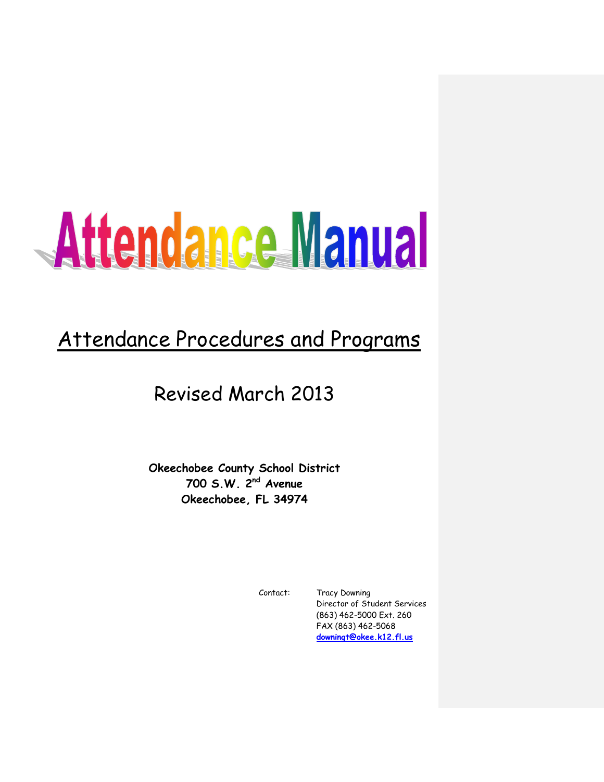# Attendance Manual

# Attendance Procedures and Programs

# Revised March 2013

**Okeechobee County School District 700 S.W. 2nd Avenue Okeechobee, FL 34974**

Contact: Tracy Downing Director of Student Services (863) 462-5000 Ext. 260 FAX (863) 462-5068 **[downingt@okee.k12.fl.us](mailto:geetingr@okee.k12.fl.us)**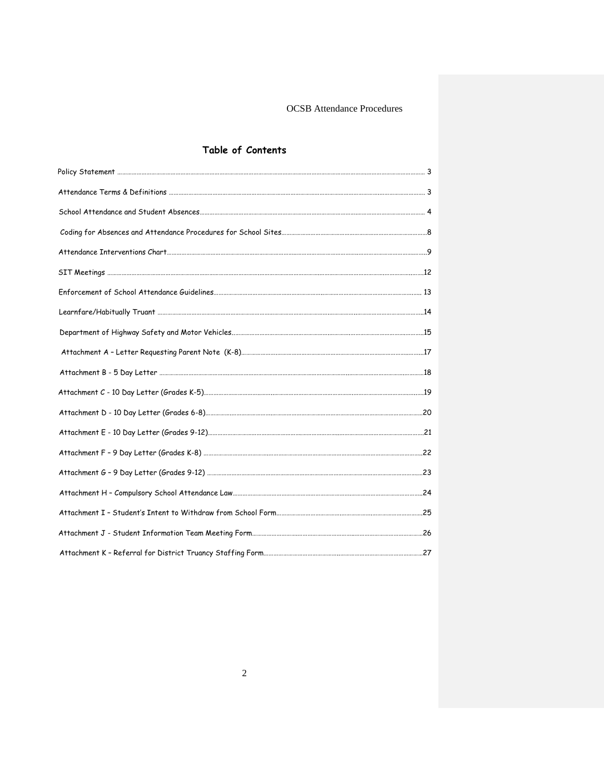# **Table of Contents**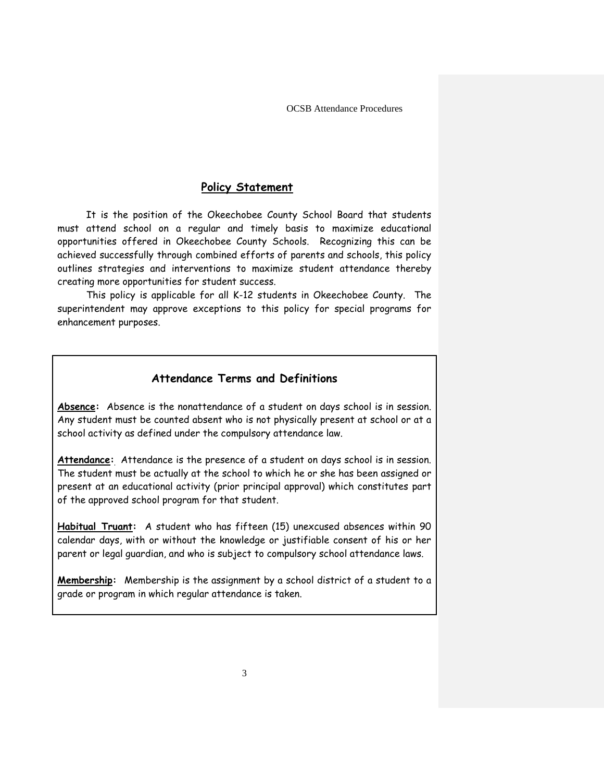# **Policy Statement**

It is the position of the Okeechobee County School Board that students must attend school on a regular and timely basis to maximize educational opportunities offered in Okeechobee County Schools. Recognizing this can be achieved successfully through combined efforts of parents and schools, this policy outlines strategies and interventions to maximize student attendance thereby creating more opportunities for student success.

This policy is applicable for all K-12 students in Okeechobee County. The superintendent may approve exceptions to this policy for special programs for enhancement purposes.

# **Attendance Terms and Definitions**

**Absence:** Absence is the nonattendance of a student on days school is in session. Any student must be counted absent who is not physically present at school or at a school activity as defined under the compulsory attendance law.

**Attendance:** Attendance is the presence of a student on days school is in session. The student must be actually at the school to which he or she has been assigned or present at an educational activity (prior principal approval) which constitutes part of the approved school program for that student.

**Habitual Truant:** A student who has fifteen (15) unexcused absences within 90 calendar days, with or without the knowledge or justifiable consent of his or her parent or legal guardian, and who is subject to compulsory school attendance laws.

**Membership:** Membership is the assignment by a school district of a student to a grade or program in which regular attendance is taken.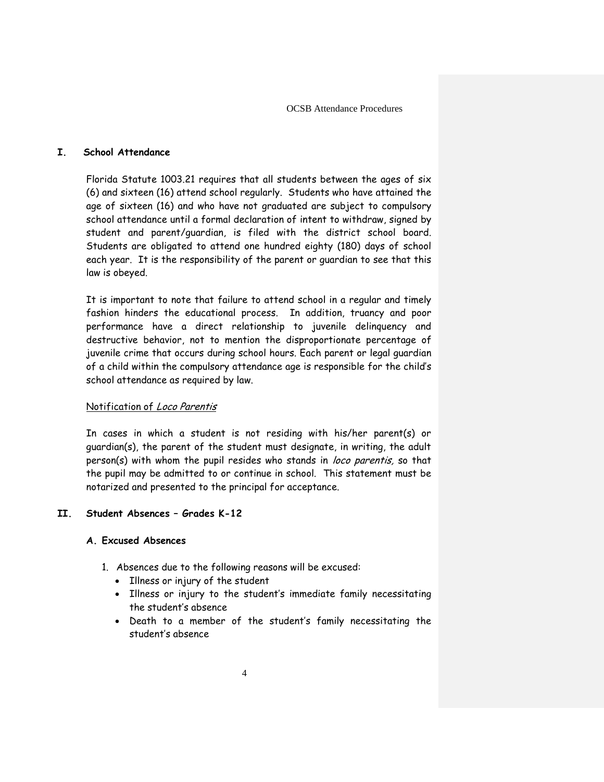# **I. School Attendance**

Florida Statute 1003.21 requires that all students between the ages of six (6) and sixteen (16) attend school regularly. Students who have attained the age of sixteen (16) and who have not graduated are subject to compulsory school attendance until a formal declaration of intent to withdraw, signed by student and parent/guardian, is filed with the district school board. Students are obligated to attend one hundred eighty (180) days of school each year. It is the responsibility of the parent or guardian to see that this law is obeyed.

It is important to note that failure to attend school in a regular and timely fashion hinders the educational process. In addition, truancy and poor performance have a direct relationship to juvenile delinquency and destructive behavior, not to mention the disproportionate percentage of juvenile crime that occurs during school hours. Each parent or legal guardian of a child within the compulsory attendance age is responsible for the child's school attendance as required by law.

#### Notification of Loco Parentis

In cases in which a student is not residing with his/her parent(s) or guardian(s), the parent of the student must designate, in writing, the adult person(s) with whom the pupil resides who stands in loco parentis, so that the pupil may be admitted to or continue in school. This statement must be notarized and presented to the principal for acceptance.

#### **II. Student Absences – Grades K-12**

#### **A. Excused Absences**

- 1. Absences due to the following reasons will be excused:
	- Illness or injury of the student
	- Illness or injury to the student's immediate family necessitating the student's absence
	- Death to a member of the student's family necessitating the student's absence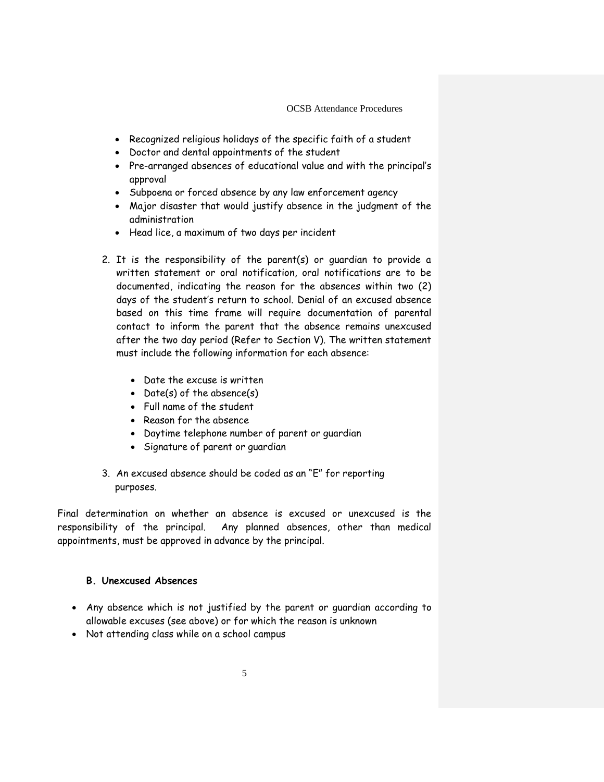- Recognized religious holidays of the specific faith of a student
- Doctor and dental appointments of the student
- Pre-arranged absences of educational value and with the principal's approval
- Subpoena or forced absence by any law enforcement agency
- Major disaster that would justify absence in the judgment of the administration
- Head lice, a maximum of two days per incident
- 2. It is the responsibility of the parent(s) or guardian to provide a written statement or oral notification, oral notifications are to be documented, indicating the reason for the absences within two (2) days of the student's return to school. Denial of an excused absence based on this time frame will require documentation of parental contact to inform the parent that the absence remains unexcused after the two day period (Refer to Section V). The written statement must include the following information for each absence:
	- Date the excuse is written
	- Date(s) of the absence(s)
	- Full name of the student
	- Reason for the absence
	- Daytime telephone number of parent or guardian
	- Signature of parent or guardian
- 3. An excused absence should be coded as an "E" for reporting purposes.

Final determination on whether an absence is excused or unexcused is the responsibility of the principal. Any planned absences, other than medical appointments, must be approved in advance by the principal.

#### **B. Unexcused Absences**

- Any absence which is not justified by the parent or guardian according to allowable excuses (see above) or for which the reason is unknown
- Not attending class while on a school campus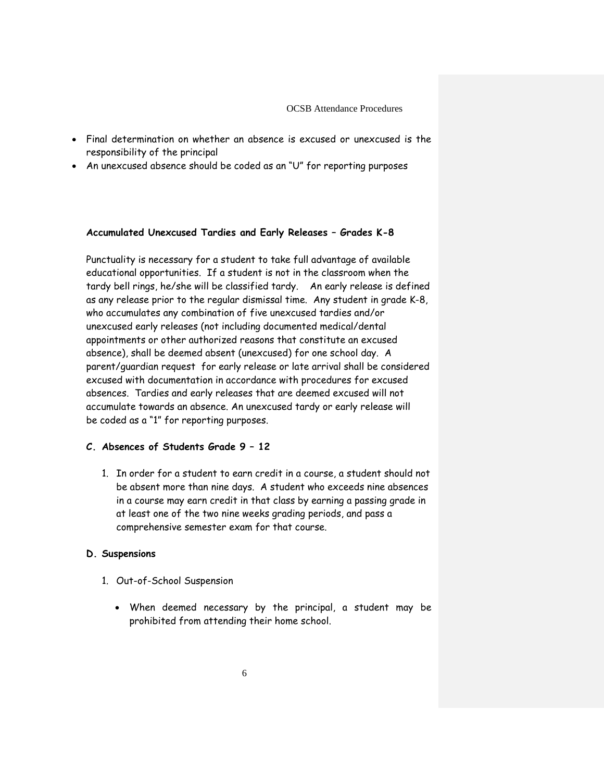- Final determination on whether an absence is excused or unexcused is the responsibility of the principal
- An unexcused absence should be coded as an "U" for reporting purposes

#### **Accumulated Unexcused Tardies and Early Releases – Grades K-8**

Punctuality is necessary for a student to take full advantage of available educational opportunities. If a student is not in the classroom when the tardy bell rings, he/she will be classified tardy. An early release is defined as any release prior to the regular dismissal time. Any student in grade K-8, who accumulates any combination of five unexcused tardies and/or unexcused early releases (not including documented medical/dental appointments or other authorized reasons that constitute an excused absence), shall be deemed absent (unexcused) for one school day. A parent/guardian request for early release or late arrival shall be considered excused with documentation in accordance with procedures for excused absences. Tardies and early releases that are deemed excused will not accumulate towards an absence. An unexcused tardy or early release will be coded as a "1" for reporting purposes.

## **C. Absences of Students Grade 9 – 12**

1. In order for a student to earn credit in a course, a student should not be absent more than nine days. A student who exceeds nine absences in a course may earn credit in that class by earning a passing grade in at least one of the two nine weeks grading periods, and pass a comprehensive semester exam for that course.

#### **D. Suspensions**

- 1. Out-of-School Suspension
	- When deemed necessary by the principal, a student may be prohibited from attending their home school.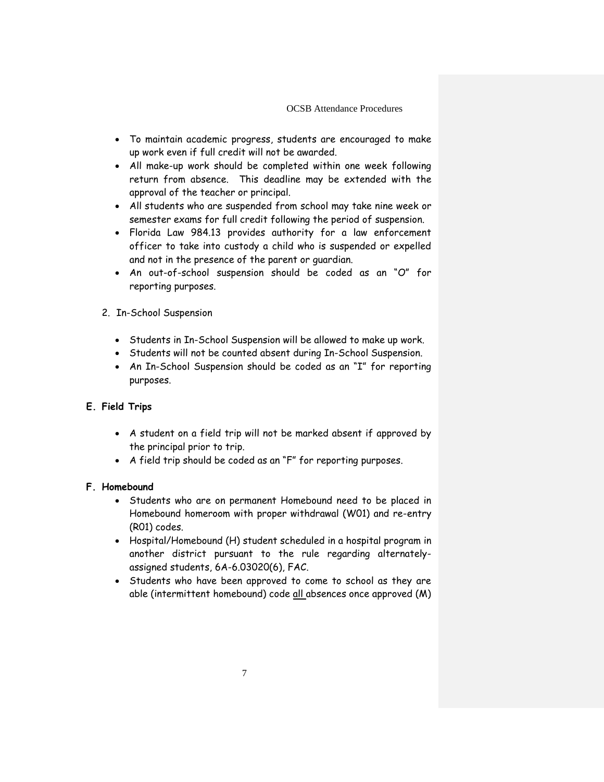- To maintain academic progress, students are encouraged to make up work even if full credit will not be awarded.
- All make-up work should be completed within one week following return from absence. This deadline may be extended with the approval of the teacher or principal.
- All students who are suspended from school may take nine week or semester exams for full credit following the period of suspension.
- Florida Law 984.13 provides authority for a law enforcement officer to take into custody a child who is suspended or expelled and not in the presence of the parent or guardian.
- An out-of-school suspension should be coded as an "O" for reporting purposes.
- 2. In-School Suspension
	- Students in In-School Suspension will be allowed to make up work.
	- Students will not be counted absent during In-School Suspension.
	- An In-School Suspension should be coded as an "I" for reporting purposes.
- **E. Field Trips**
	- A student on a field trip will not be marked absent if approved by the principal prior to trip.
	- A field trip should be coded as an "F" for reporting purposes.

#### **F. Homebound**

- Students who are on permanent Homebound need to be placed in Homebound homeroom with proper withdrawal (W01) and re-entry (R01) codes.
- Hospital/Homebound (H) student scheduled in a hospital program in another district pursuant to the rule regarding alternatelyassigned students, 6A-6.03020(6), FAC.
- Students who have been approved to come to school as they are able (intermittent homebound) code all absences once approved (M)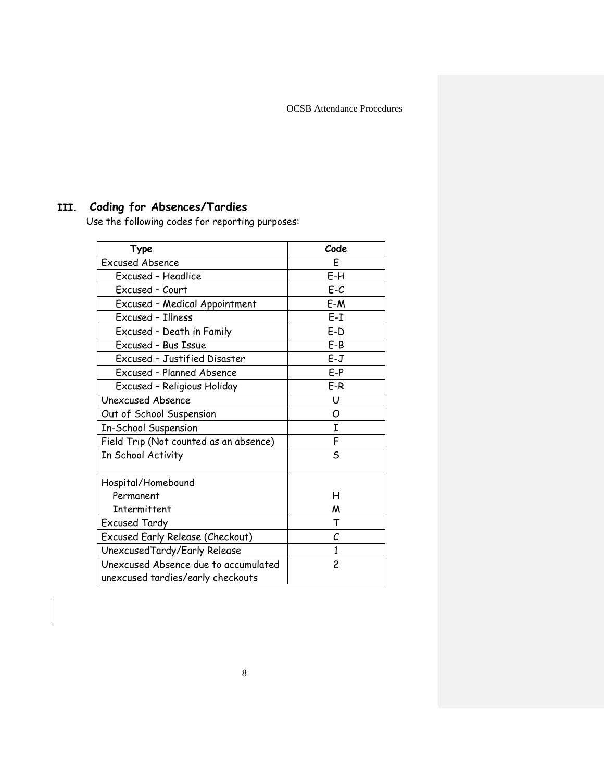# **III. Coding for Absences/Tardies**

Use the following codes for reporting purposes:

| Type                                                                      | Code           |
|---------------------------------------------------------------------------|----------------|
| <b>Excused Absence</b>                                                    | E              |
| Excused - Headlice                                                        | E-H            |
| Excused - Court                                                           | E-C            |
| <b>Excused - Medical Appointment</b>                                      | $E-M$          |
| Excused - Illness                                                         | $E-I$          |
| Excused - Death in Family                                                 | $E-D$          |
| Excused - Bus Issue                                                       | E-B            |
| <b>Excused - Justified Disaster</b>                                       | E-J            |
| <b>Excused - Planned Absence</b>                                          | $E-P$          |
| Excused - Religious Holiday                                               | E-R            |
| Unexcused Absence                                                         | U              |
| Out of School Suspension                                                  | Ο              |
| <b>In-School Suspension</b>                                               | I              |
| Field Trip (Not counted as an absence)                                    | F              |
| In School Activity                                                        | S              |
| Hospital/Homebound                                                        |                |
| Permanent                                                                 | н              |
| Intermittent                                                              | M              |
| Excused Tardy                                                             | T              |
| Excused Early Release (Checkout)                                          | C              |
| UnexcusedTardy/Early Release                                              | 1              |
| Unexcused Absence due to accumulated<br>unexcused tardies/early checkouts | $\overline{c}$ |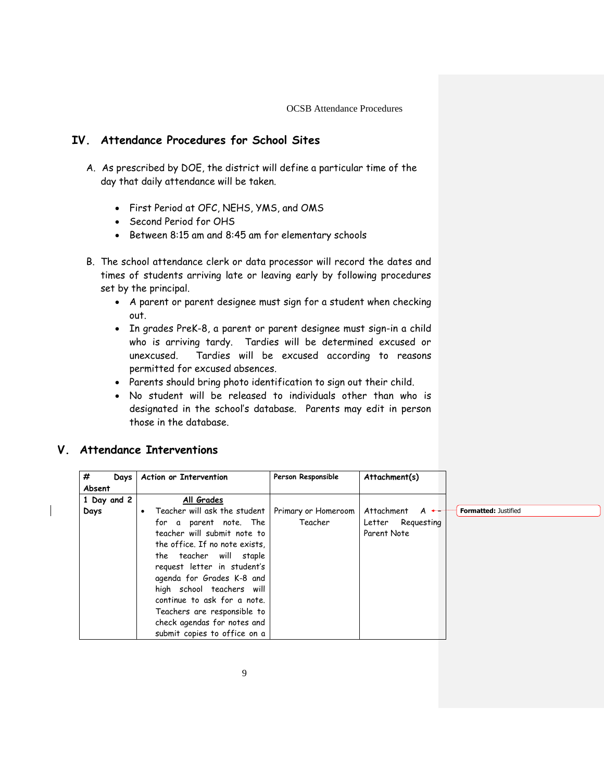# **IV. Attendance Procedures for School Sites**

- A. As prescribed by DOE, the district will define a particular time of the day that daily attendance will be taken.
	- First Period at OFC, NEHS, YMS, and OMS
	- Second Period for OHS
	- Between 8:15 am and 8:45 am for elementary schools
- B. The school attendance clerk or data processor will record the dates and times of students arriving late or leaving early by following procedures set by the principal.
	- A parent or parent designee must sign for a student when checking out.
	- In grades PreK-8, a parent or parent designee must sign-in a child who is arriving tardy. Tardies will be determined excused or unexcused. Tardies will be excused according to reasons permitted for excused absences.
	- Parents should bring photo identification to sign out their child.
	- No student will be released to individuals other than who is designated in the school's database. Parents may edit in person those in the database.

# **V. Attendance Interventions**

| #           | Days   Action or Intervention  | Person Responsible  | Attachment(s)             |
|-------------|--------------------------------|---------------------|---------------------------|
| Absent      |                                |                     |                           |
| 1 Day and 2 | All Grades                     |                     |                           |
| Days        | • Teacher will ask the student | Primary or Homeroom | Attachment $A \leftarrow$ |
|             | for a parent note. The         | Teacher             | Letter Requesting         |
|             | teacher will submit note to    |                     | Parent Note               |
|             | the office. If no note exists, |                     |                           |
|             | the teacher will staple        |                     |                           |
|             | request letter in student's    |                     |                           |
|             | agenda for Grades K-8 and      |                     |                           |
|             | high school teachers will      |                     |                           |
|             | continue to ask for a note.    |                     |                           |
|             | Teachers are responsible to    |                     |                           |
|             | check agendas for notes and    |                     |                           |
|             | submit copies to office on a   |                     |                           |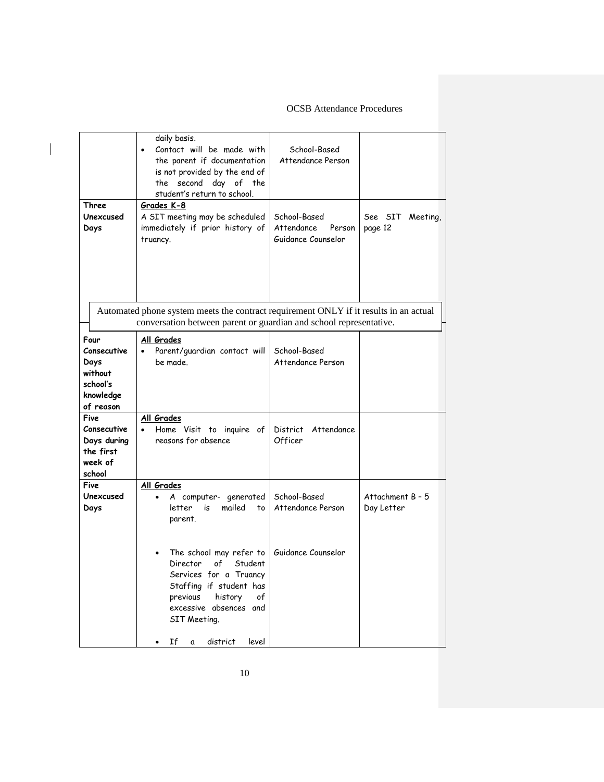|                                                                              | daily basis.<br>Contact will be made with<br>the parent if documentation<br>is not provided by the end of<br>the second day of the<br>student's return to school.                | School-Based<br>Attendance Person                          |                                |
|------------------------------------------------------------------------------|----------------------------------------------------------------------------------------------------------------------------------------------------------------------------------|------------------------------------------------------------|--------------------------------|
| Three<br>Unexcused<br>Days                                                   | Grades K-8<br>A SIT meeting may be scheduled<br>immediately if prior history of<br>truancy.                                                                                      | School-Based<br>Attendance<br>Person<br>Guidance Counselor | See SIT<br>Meeting,<br>page 12 |
|                                                                              | Automated phone system meets the contract requirement ONLY if it results in an actual<br>conversation between parent or guardian and school representative.                      |                                                            |                                |
| Four<br>Consecutive<br>Days<br>without<br>school's<br>knowledge<br>of reason | All Grades<br>Parent/guardian contact will<br>be made.                                                                                                                           | School-Based<br>Attendance Person                          |                                |
| Five<br>Consecutive<br>Days during<br>the first<br>week of<br>school         | All Grades<br>Home Visit to inquire of<br>$\bullet$<br>reasons for absence                                                                                                       | District Attendance<br>Officer                             |                                |
| Five<br>Unexcused<br>Days                                                    | All Grades<br>A computer- generated<br>$\bullet$<br>mailed<br>letter<br>is<br>to<br>parent.                                                                                      | School-Based<br>Attendance Person                          | Attachment B - 5<br>Day Letter |
|                                                                              | The school may refer to<br>of<br>Director<br>Student<br>Services for a Truancy<br>Staffing if student has<br>previous<br>history<br>of<br>excessive absences and<br>SIT Meeting. | Guidance Counselor                                         |                                |
|                                                                              | Ιf<br>district<br>level<br>a                                                                                                                                                     |                                                            |                                |

 $\overline{\phantom{a}}$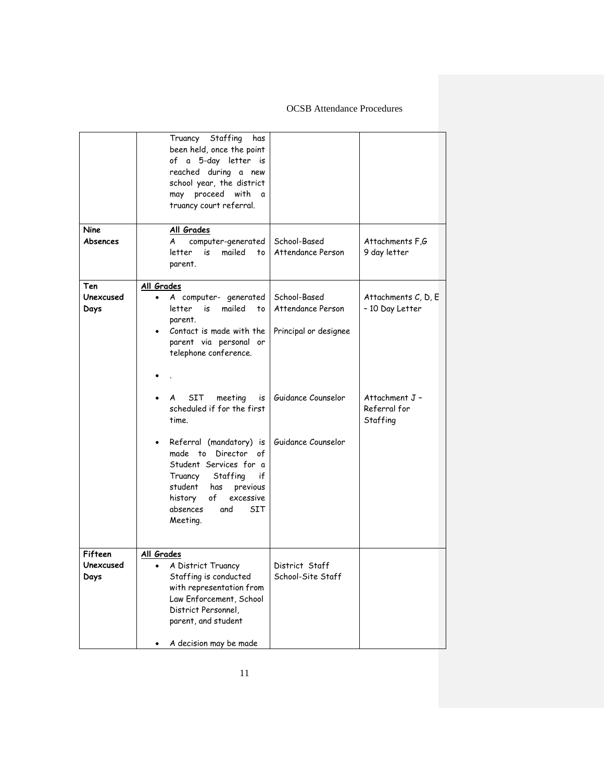|                              | Truancy Staffing<br>has<br>been held, once the point<br>of a 5-day letter is<br>reached during a new<br>school year, the district<br>may proceed with<br>a<br>truancy court referral.                                                                                                                                                                                                                                                                     |                                                                                                        |                                                                                      |
|------------------------------|-----------------------------------------------------------------------------------------------------------------------------------------------------------------------------------------------------------------------------------------------------------------------------------------------------------------------------------------------------------------------------------------------------------------------------------------------------------|--------------------------------------------------------------------------------------------------------|--------------------------------------------------------------------------------------|
| Nine<br>Absences             | All Grades<br>computer-generated<br>A<br>letter<br>is<br>mailed<br>to<br>parent.                                                                                                                                                                                                                                                                                                                                                                          | School-Based<br>Attendance Person                                                                      | Attachments F,G<br>9 day letter                                                      |
| Ten<br>Unexcused<br>Days     | All Grades<br>A computer- generated<br>$\bullet$<br>mailed<br>letter<br>is<br>to<br>parent.<br>Contact is made with the<br>parent via personal or<br>telephone conference.<br>SIT<br>meeting<br>A<br>is<br>scheduled if for the first<br>time.<br>Referral (mandatory) is<br>made to Director of<br>Student Services for a<br>Staffing<br>if<br>Truancy<br>student<br>has<br>previous<br>of<br>excessive<br>history<br>absences<br>SIT<br>and<br>Meeting. | School-Based<br>Attendance Person<br>Principal or designee<br>Guidance Counselor<br>Guidance Counselor | Attachments C, D, E<br>- 10 Day Letter<br>Attachment J -<br>Referral for<br>Staffing |
| Fifteen<br>Unexcused<br>Days | All Grades<br>A District Truancy<br>٠<br>Staffing is conducted<br>with representation from<br>Law Enforcement, School<br>District Personnel,<br>parent, and student<br>A decision may be made                                                                                                                                                                                                                                                             | District Staff<br>School-Site Staff                                                                    |                                                                                      |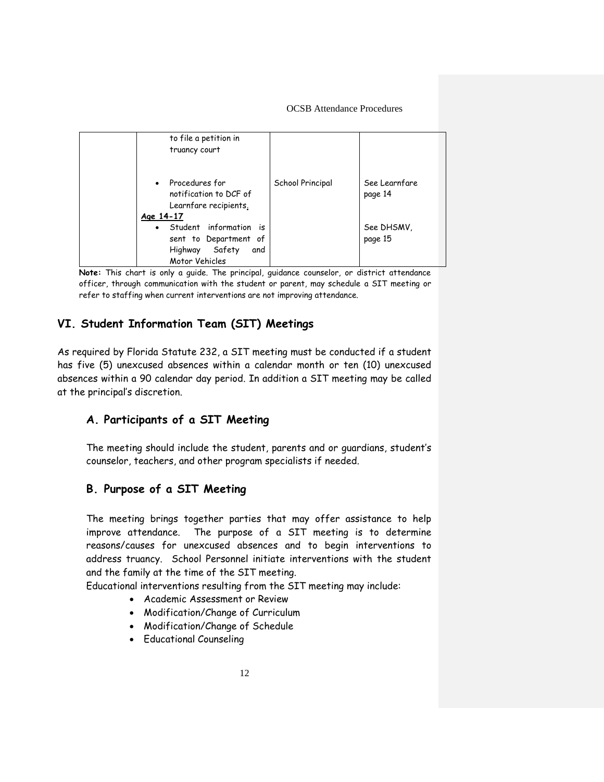| to file a petition in<br>truancy court                                                                  |                  |                          |
|---------------------------------------------------------------------------------------------------------|------------------|--------------------------|
| Procedures for<br>$\bullet$<br>notification to DCF of<br>Learnfare recipients.<br>Age 14-17             | School Principal | See Learnfare<br>page 14 |
| Student information is<br>$\bullet$<br>sent to Department of<br>Highway Safety<br>and<br>Motor Vehicles |                  | See DHSMV,<br>page 15    |

**Note:** This chart is only a guide. The principal, guidance counselor, or district attendance officer, through communication with the student or parent, may schedule a SIT meeting or refer to staffing when current interventions are not improving attendance.

# **VI. Student Information Team (SIT) Meetings**

As required by Florida Statute 232, a SIT meeting must be conducted if a student has five (5) unexcused absences within a calendar month or ten (10) unexcused absences within a 90 calendar day period. In addition a SIT meeting may be called at the principal's discretion.

# **A. Participants of a SIT Meeting**

The meeting should include the student, parents and or guardians, student's counselor, teachers, and other program specialists if needed.

# **B. Purpose of a SIT Meeting**

The meeting brings together parties that may offer assistance to help improve attendance. The purpose of a SIT meeting is to determine reasons/causes for unexcused absences and to begin interventions to address truancy. School Personnel initiate interventions with the student and the family at the time of the SIT meeting.

Educational interventions resulting from the SIT meeting may include:

- Academic Assessment or Review
- Modification/Change of Curriculum
- Modification/Change of Schedule
- Educational Counseling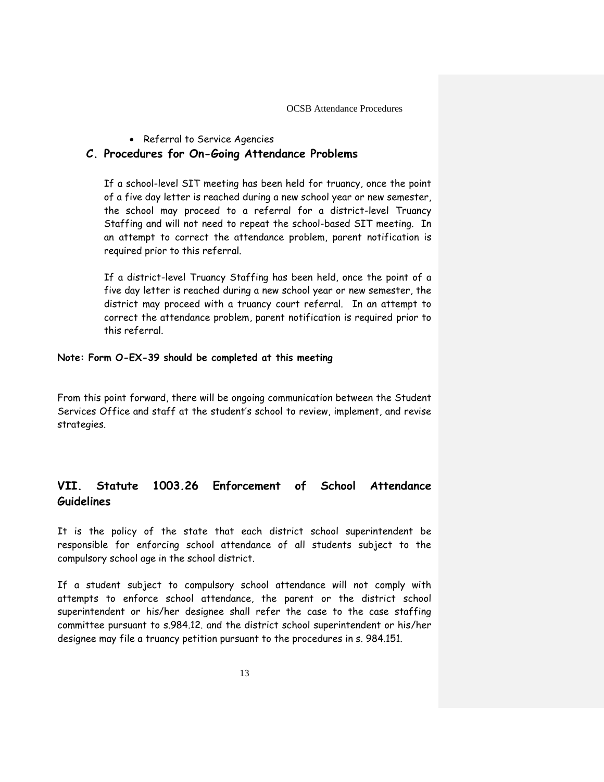• Referral to Service Agencies

# **C. Procedures for On-Going Attendance Problems**

If a school-level SIT meeting has been held for truancy, once the point of a five day letter is reached during a new school year or new semester, the school may proceed to a referral for a district-level Truancy Staffing and will not need to repeat the school-based SIT meeting. In an attempt to correct the attendance problem, parent notification is required prior to this referral.

If a district-level Truancy Staffing has been held, once the point of a five day letter is reached during a new school year or new semester, the district may proceed with a truancy court referral. In an attempt to correct the attendance problem, parent notification is required prior to this referral.

#### **Note: Form O-EX-39 should be completed at this meeting**

From this point forward, there will be ongoing communication between the Student Services Office and staff at the student's school to review, implement, and revise strategies.

# **VII. Statute 1003.26 Enforcement of School Attendance Guidelines**

It is the policy of the state that each district school superintendent be responsible for enforcing school attendance of all students subject to the compulsory school age in the school district.

If a student subject to compulsory school attendance will not comply with attempts to enforce school attendance, the parent or the district school superintendent or his/her designee shall refer the case to the case staffing committee pursuant to s.984.12. and the district school superintendent or his/her designee may file a truancy petition pursuant to the procedures in s. 984.151.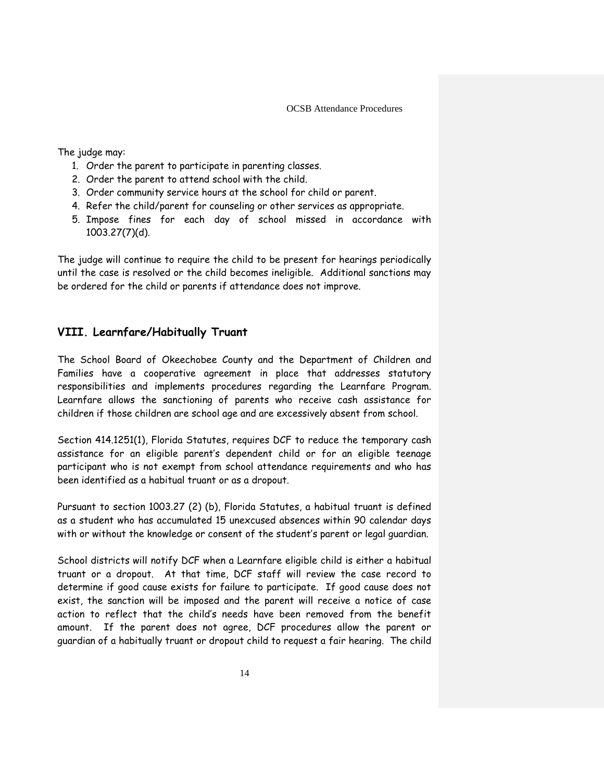The judge may:

- 1. Order the parent to participate in parenting classes.
- 2. Order the parent to attend school with the child.
- 3. Order community service hours at the school for child or parent.
- 4. Refer the child/parent for counseling or other services as appropriate.
- 5. Impose fines for each day of school missed in accordance with 1003.27(7)(d).

The judge will continue to require the child to be present for hearings periodically until the case is resolved or the child becomes ineligible. Additional sanctions may be ordered for the child or parents if attendance does not improve.

# **VIII. Learnfare/Habitually Truant**

The School Board of Okeechobee County and the Department of Children and Families have a cooperative agreement in place that addresses statutory responsibilities and implements procedures regarding the Learnfare Program. Learnfare allows the sanctioning of parents who receive cash assistance for children if those children are school age and are excessively absent from school.

Section 414.1251(1), Florida Statutes, requires DCF to reduce the temporary cash assistance for an eligible parent's dependent child or for an eligible teenage participant who is not exempt from school attendance requirements and who has been identified as a habitual truant or as a dropout.

Pursuant to section 1003.27 (2) (b), Florida Statutes, a habitual truant is defined as a student who has accumulated 15 unexcused absences within 90 calendar days with or without the knowledge or consent of the student's parent or legal guardian.

School districts will notify DCF when a Learnfare eligible child is either a habitual truant or a dropout. At that time, DCF staff will review the case record to determine if good cause exists for failure to participate. If good cause does not exist, the sanction will be imposed and the parent will receive a notice of case action to reflect that the child's needs have been removed from the benefit amount. If the parent does not agree, DCF procedures allow the parent or guardian of a habitually truant or dropout child to request a fair hearing. The child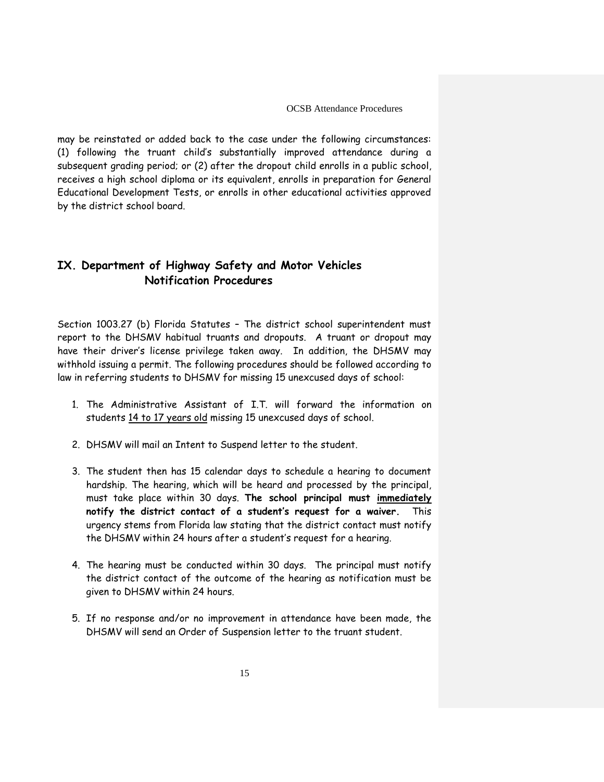may be reinstated or added back to the case under the following circumstances: (1) following the truant child's substantially improved attendance during a subsequent grading period; or (2) after the dropout child enrolls in a public school, receives a high school diploma or its equivalent, enrolls in preparation for General Educational Development Tests, or enrolls in other educational activities approved by the district school board.

# **IX. Department of Highway Safety and Motor Vehicles Notification Procedures**

Section 1003.27 (b) Florida Statutes – The district school superintendent must report to the DHSMV habitual truants and dropouts. A truant or dropout may have their driver's license privilege taken away. In addition, the DHSMV may withhold issuing a permit. The following procedures should be followed according to law in referring students to DHSMV for missing 15 unexcused days of school:

- 1. The Administrative Assistant of I.T. will forward the information on students 14 to 17 years old missing 15 unexcused days of school.
- 2. DHSMV will mail an Intent to Suspend letter to the student.
- 3. The student then has 15 calendar days to schedule a hearing to document hardship. The hearing, which will be heard and processed by the principal, must take place within 30 days. **The school principal must immediately notify the district contact of a student's request for a waiver.** This urgency stems from Florida law stating that the district contact must notify the DHSMV within 24 hours after a student's request for a hearing.
- 4. The hearing must be conducted within 30 days. The principal must notify the district contact of the outcome of the hearing as notification must be given to DHSMV within 24 hours.
- 5. If no response and/or no improvement in attendance have been made, the DHSMV will send an Order of Suspension letter to the truant student.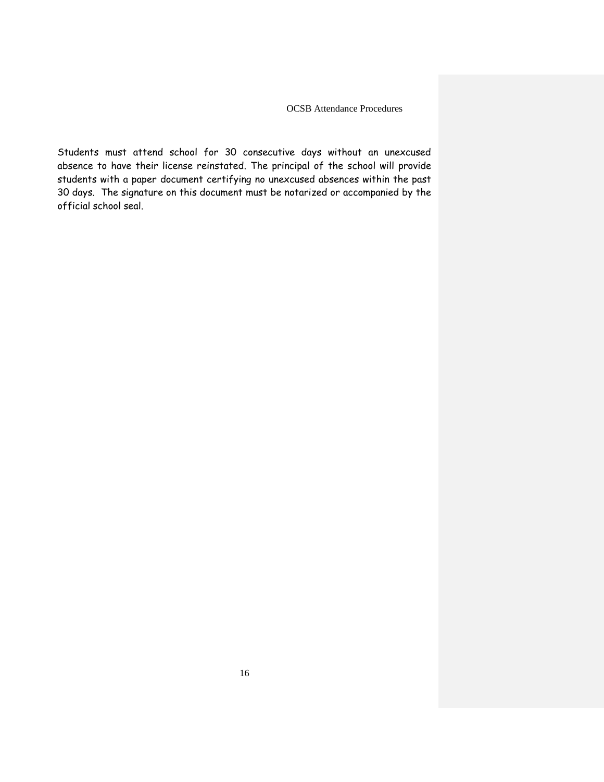Students must attend school for 30 consecutive days without an unexcused absence to have their license reinstated. The principal of the school will provide students with a paper document certifying no unexcused absences within the past 30 days. The signature on this document must be notarized or accompanied by the official school seal.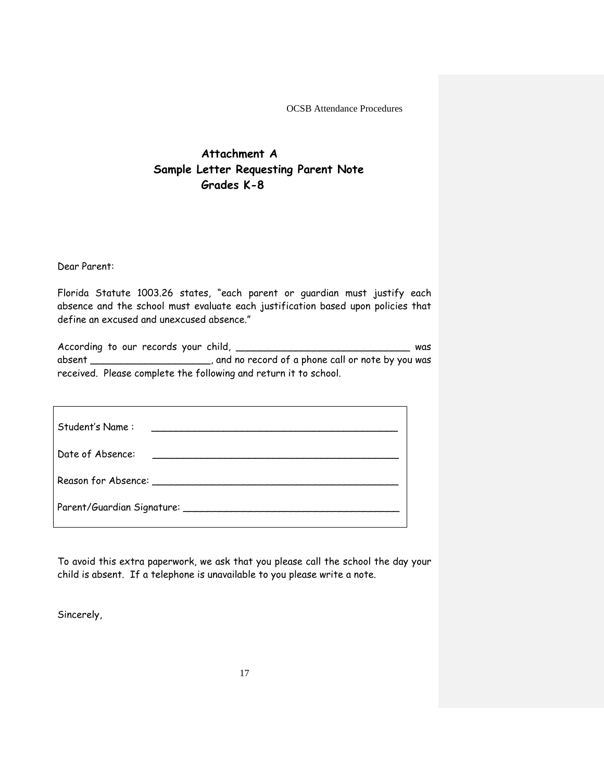# **Attachment A Sample Letter Requesting Parent Note Grades K-8**

Dear Parent:

Florida Statute 1003.26 states, "each parent or guardian must justify each absence and the school must evaluate each justification based upon policies that define an excused and unexcused absence."

According to our records your child, \_\_\_\_\_\_\_\_\_\_\_\_\_\_\_\_\_\_\_\_\_\_\_\_\_\_\_\_\_\_\_\_\_ was absent \_\_\_\_\_\_\_\_\_\_\_\_\_\_\_\_, and no record of a phone call or note by you was received. Please complete the following and return it to school.

| Student's Name:                                                                                                                                                                                                                  |  |  |  |  |
|----------------------------------------------------------------------------------------------------------------------------------------------------------------------------------------------------------------------------------|--|--|--|--|
| Date of Absence:                                                                                                                                                                                                                 |  |  |  |  |
| Reason for Absence:<br>Second the Second Second Second Second Second Second Second Second Second Second Second Second Second Second Second Second Second Second Second Second Second Second Second Second Second Second Second S |  |  |  |  |
|                                                                                                                                                                                                                                  |  |  |  |  |

To avoid this extra paperwork, we ask that you please call the school the day your child is absent. If a telephone is unavailable to you please write a note.

Sincerely,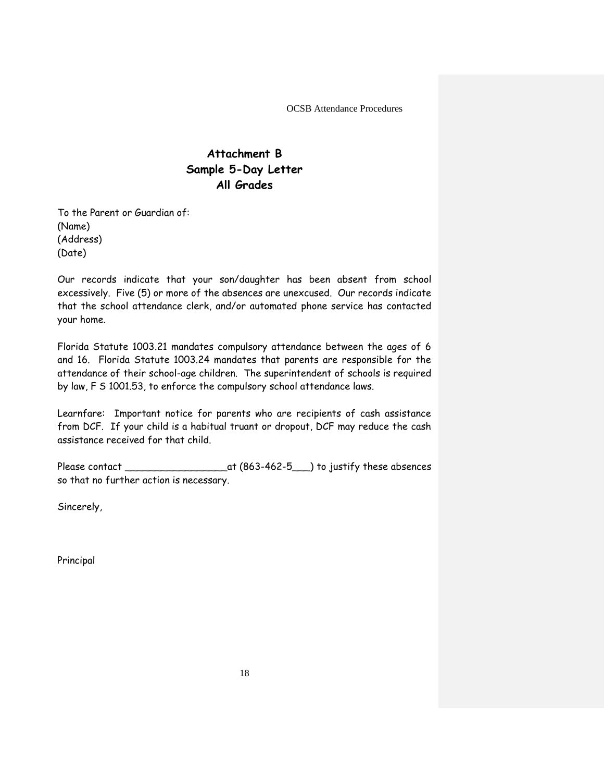# **Attachment B Sample 5-Day Letter All Grades**

To the Parent or Guardian of: (Name) (Address) (Date)

Our records indicate that your son/daughter has been absent from school excessively. Five (5) or more of the absences are unexcused. Our records indicate that the school attendance clerk, and/or automated phone service has contacted your home.

Florida Statute 1003.21 mandates compulsory attendance between the ages of 6 and 16. Florida Statute 1003.24 mandates that parents are responsible for the attendance of their school-age children. The superintendent of schools is required by law, F S 1001.53, to enforce the compulsory school attendance laws.

Learnfare: Important notice for parents who are recipients of cash assistance from DCF. If your child is a habitual truant or dropout, DCF may reduce the cash assistance received for that child.

Please contact \_\_\_\_\_\_\_\_\_\_\_\_\_\_\_\_\_at (863-462-5\_\_\_) to justify these absences so that no further action is necessary.

Sincerely,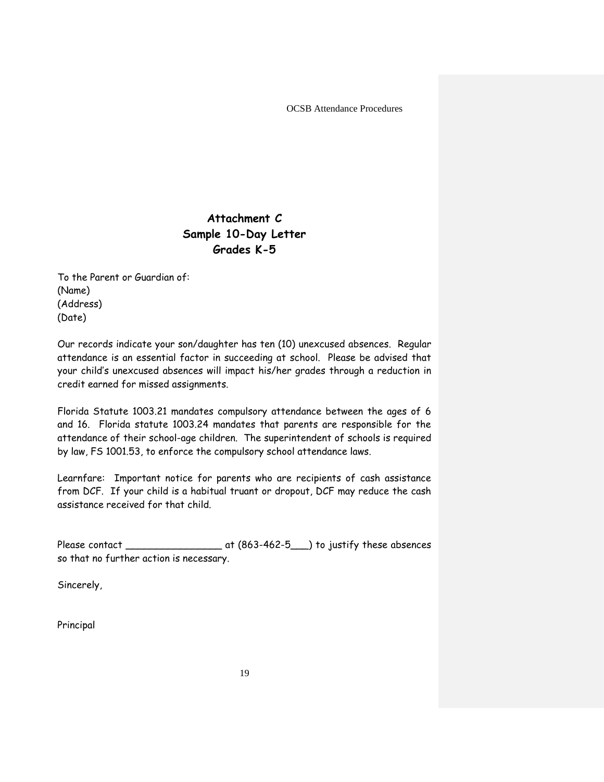# **Attachment C Sample 10-Day Letter Grades K-5**

To the Parent or Guardian of: (Name) (Address) (Date)

Our records indicate your son/daughter has ten (10) unexcused absences. Regular attendance is an essential factor in succeeding at school. Please be advised that your child's unexcused absences will impact his/her grades through a reduction in credit earned for missed assignments.

Florida Statute 1003.21 mandates compulsory attendance between the ages of 6 and 16. Florida statute 1003.24 mandates that parents are responsible for the attendance of their school-age children. The superintendent of schools is required by law, FS 1001.53, to enforce the compulsory school attendance laws.

Learnfare: Important notice for parents who are recipients of cash assistance from DCF. If your child is a habitual truant or dropout, DCF may reduce the cash assistance received for that child.

Please contact \_\_\_\_\_\_\_\_\_\_\_\_\_\_\_\_\_\_\_\_\_\_\_\_\_ at (863-462-5\_\_\_) to justify these absences so that no further action is necessary.

Sincerely,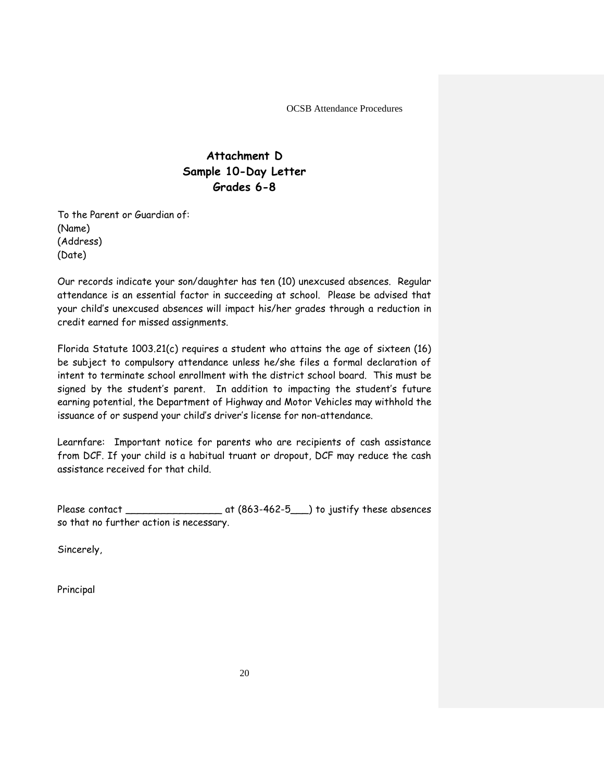# **Attachment D Sample 10-Day Letter Grades 6-8**

To the Parent or Guardian of: (Name) (Address) (Date)

Our records indicate your son/daughter has ten (10) unexcused absences. Regular attendance is an essential factor in succeeding at school. Please be advised that your child's unexcused absences will impact his/her grades through a reduction in credit earned for missed assignments.

Florida Statute 1003.21(c) requires a student who attains the age of sixteen (16) be subject to compulsory attendance unless he/she files a formal declaration of intent to terminate school enrollment with the district school board. This must be signed by the student's parent. In addition to impacting the student's future earning potential, the Department of Highway and Motor Vehicles may withhold the issuance of or suspend your child's driver's license for non-attendance.

Learnfare: Important notice for parents who are recipients of cash assistance from DCF. If your child is a habitual truant or dropout, DCF may reduce the cash assistance received for that child.

Please contact \_\_\_\_\_\_\_\_\_\_\_\_\_\_\_\_\_\_\_\_\_\_\_\_\_ at (863-462-5\_\_\_) to justify these absences so that no further action is necessary.

Sincerely,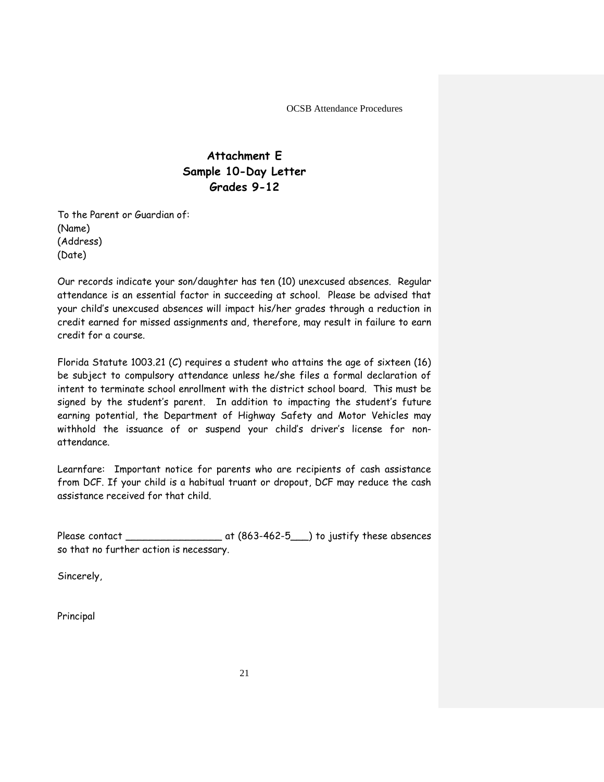# **Attachment E Sample 10-Day Letter Grades 9-12**

To the Parent or Guardian of: (Name) (Address) (Date)

Our records indicate your son/daughter has ten (10) unexcused absences. Regular attendance is an essential factor in succeeding at school. Please be advised that your child's unexcused absences will impact his/her grades through a reduction in credit earned for missed assignments and, therefore, may result in failure to earn credit for a course.

Florida Statute 1003.21 (C) requires a student who attains the age of sixteen (16) be subject to compulsory attendance unless he/she files a formal declaration of intent to terminate school enrollment with the district school board. This must be signed by the student's parent. In addition to impacting the student's future earning potential, the Department of Highway Safety and Motor Vehicles may withhold the issuance of or suspend your child's driver's license for nonattendance.

Learnfare: Important notice for parents who are recipients of cash assistance from DCF. If your child is a habitual truant or dropout, DCF may reduce the cash assistance received for that child.

Please contact \_\_\_\_\_\_\_\_\_\_\_\_\_\_\_\_ at (863-462-5\_\_\_) to justify these absences so that no further action is necessary.

Sincerely,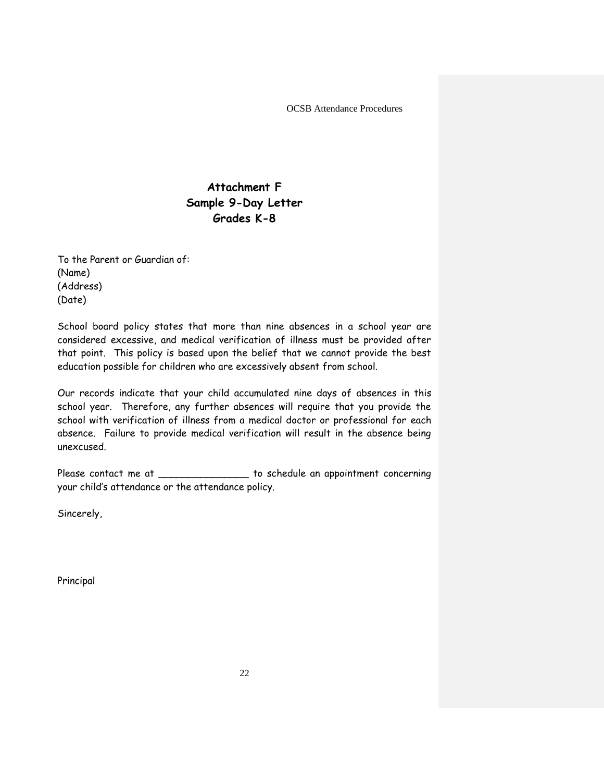# **Attachment F Sample 9-Day Letter Grades K-8**

To the Parent or Guardian of: (Name) (Address) (Date)

School board policy states that more than nine absences in a school year are considered excessive, and medical verification of illness must be provided after that point. This policy is based upon the belief that we cannot provide the best education possible for children who are excessively absent from school.

Our records indicate that your child accumulated nine days of absences in this school year. Therefore, any further absences will require that you provide the school with verification of illness from a medical doctor or professional for each absence. Failure to provide medical verification will result in the absence being unexcused.

Please contact me at  $\qquad \qquad$  to schedule an appointment concerning your child's attendance or the attendance policy.

Sincerely,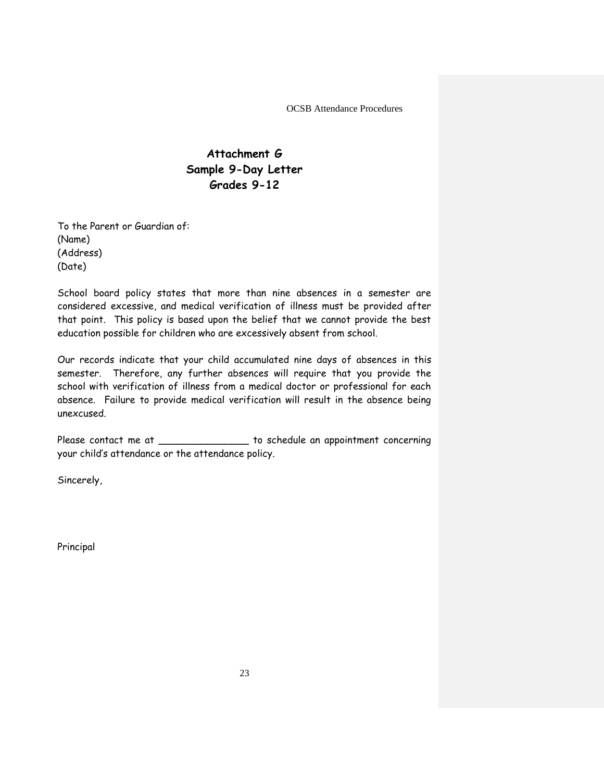# **Attachment G Sample 9-Day Letter Grades 9-12**

To the Parent or Guardian of: (Name) (Address) (Date)

School board policy states that more than nine absences in a semester are considered excessive, and medical verification of illness must be provided after that point. This policy is based upon the belief that we cannot provide the best education possible for children who are excessively absent from school.

Our records indicate that your child accumulated nine days of absences in this semester. Therefore, any further absences will require that you provide the school with verification of illness from a medical doctor or professional for each absence. Failure to provide medical verification will result in the absence being unexcused.

Please contact me at \_\_\_\_\_\_\_\_\_\_\_\_\_\_\_\_\_ to schedule an appointment concerning your child's attendance or the attendance policy.

Sincerely,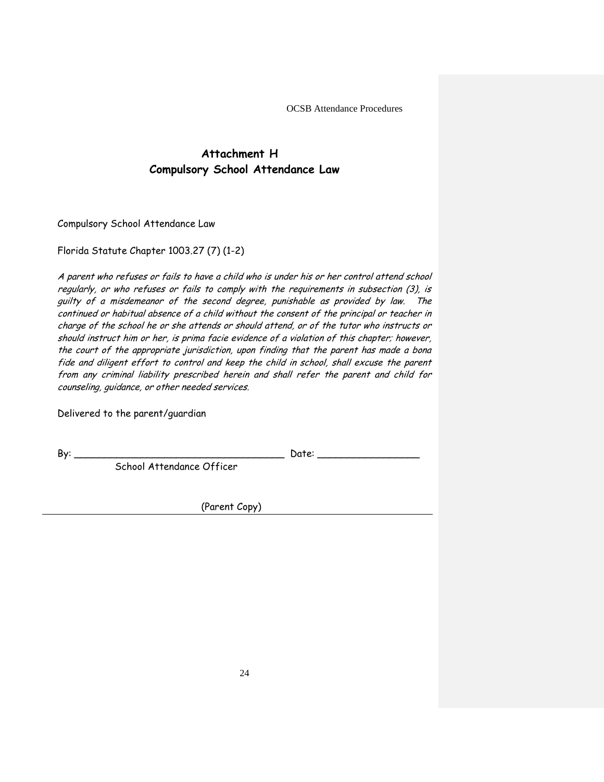# **Attachment H Compulsory School Attendance Law**

Compulsory School Attendance Law

Florida Statute Chapter 1003.27 (7) (1-2)

A parent who refuses or fails to have a child who is under his or her control attend school regularly, or who refuses or fails to comply with the requirements in subsection (3), is guilty of a misdemeanor of the second degree, punishable as provided by law. The continued or habitual absence of a child without the consent of the principal or teacher in charge of the school he or she attends or should attend, or of the tutor who instructs or should instruct him or her, is prima facie evidence of a violation of this chapter; however, the court of the appropriate jurisdiction, upon finding that the parent has made a bona fide and diligent effort to control and keep the child in school, shall excuse the parent from any criminal liability prescribed herein and shall refer the parent and child for counseling, guidance, or other needed services.

Delivered to the parent/guardian

By: \_\_\_\_\_\_\_\_\_\_\_\_\_\_\_\_\_\_\_\_\_\_\_\_\_\_\_\_\_\_\_\_\_\_\_ Date: \_\_\_\_\_\_\_\_\_\_\_\_\_\_\_\_\_

School Attendance Officer

(Parent Copy)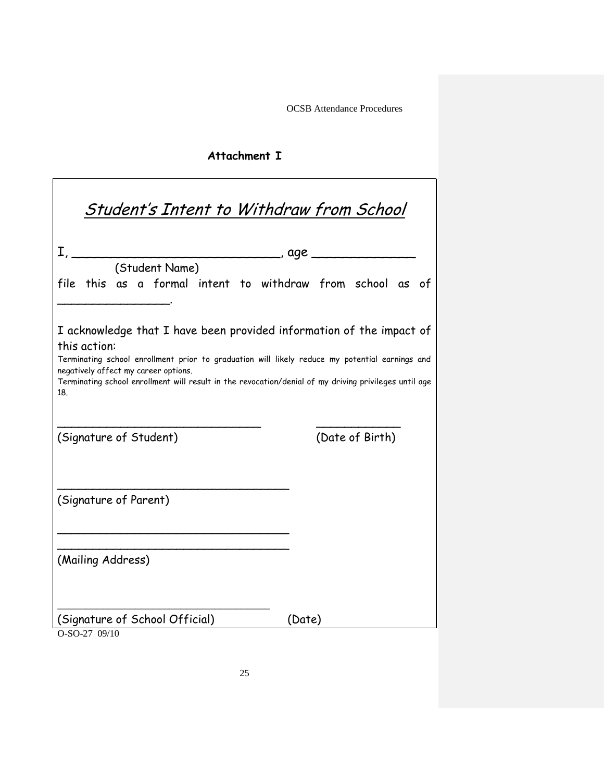# **Attachment I**

|                       |                                      | <u> Student's Intent to Withdraw from School</u>                                                                                                                                                                                                                                |
|-----------------------|--------------------------------------|---------------------------------------------------------------------------------------------------------------------------------------------------------------------------------------------------------------------------------------------------------------------------------|
|                       | (Student Name)                       | $I, \_\_\_\_\_$ , age $\_\_\_\_\_\_\_$                                                                                                                                                                                                                                          |
|                       |                                      | file this as a formal intent to withdraw from school as of                                                                                                                                                                                                                      |
| this action:<br>18.   | negatively affect my career options. | I acknowledge that I have been provided information of the impact of<br>Terminating school enrollment prior to graduation will likely reduce my potential earnings and<br>Terminating school enrollment will result in the revocation/denial of my driving privileges until age |
|                       | (Signature of Student)               | (Date of Birth)                                                                                                                                                                                                                                                                 |
| (Signature of Parent) |                                      |                                                                                                                                                                                                                                                                                 |
| (Mailing Address)     |                                      |                                                                                                                                                                                                                                                                                 |
| O-SO-27 09/10         | (Signature of School Official)       | (Date)                                                                                                                                                                                                                                                                          |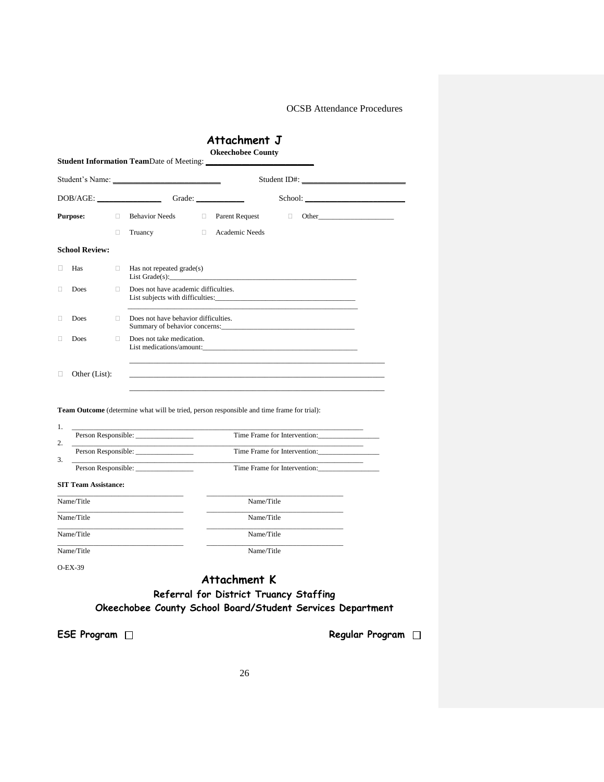|                                                                                                       |        | <b>Student Information TeamDate of Meeting:</b>       |  |                                                                                                  |                              |  |
|-------------------------------------------------------------------------------------------------------|--------|-------------------------------------------------------|--|--------------------------------------------------------------------------------------------------|------------------------------|--|
|                                                                                                       |        |                                                       |  |                                                                                                  |                              |  |
|                                                                                                       |        | DOB/AGE: Grade:                                       |  |                                                                                                  |                              |  |
| <b>Purpose:</b>                                                                                       | $\Box$ | <b>Behavior Needs</b>                                 |  | □ Parent Request                                                                                 | $\Box$ Other                 |  |
|                                                                                                       | П.     | Truancy                                               |  | <b>Example 2</b> Academic Needs                                                                  |                              |  |
| <b>School Review:</b>                                                                                 |        |                                                       |  |                                                                                                  |                              |  |
| Has<br>0                                                                                              | α.     | Has not repeated grade(s)<br>$List$ Grade $(s)$ :     |  |                                                                                                  |                              |  |
| <b>Does</b><br>Ω                                                                                      | П.     | Does not have academic difficulties.                  |  |                                                                                                  |                              |  |
| Does<br>□                                                                                             | $\Box$ | Does not have behavior difficulties.                  |  | Summary of behavior concerns:                                                                    |                              |  |
| 0<br>Does                                                                                             | 0.     | Does not take medication.<br>List medications/amount: |  |                                                                                                  |                              |  |
| Other (List):<br>$\Box$                                                                               |        |                                                       |  |                                                                                                  |                              |  |
|                                                                                                       |        |                                                       |  |                                                                                                  |                              |  |
|                                                                                                       |        |                                                       |  |                                                                                                  |                              |  |
|                                                                                                       |        |                                                       |  | <b>Team Outcome</b> (determine what will be tried, person responsible and time frame for trial): |                              |  |
|                                                                                                       |        |                                                       |  |                                                                                                  | Time Frame for Intervention: |  |
|                                                                                                       |        | Person Responsible:                                   |  |                                                                                                  | Time Frame for Intervention: |  |
|                                                                                                       |        | Person Responsible:                                   |  |                                                                                                  | Time Frame for Intervention: |  |
|                                                                                                       |        |                                                       |  |                                                                                                  |                              |  |
|                                                                                                       |        |                                                       |  | Name/Title                                                                                       |                              |  |
|                                                                                                       |        | the control of the control of the control of          |  | Name/Title                                                                                       |                              |  |
|                                                                                                       |        |                                                       |  | Name/Title                                                                                       |                              |  |
| 1.<br>2.<br>3.<br><b>SIT Team Assistance:</b><br>Name/Title<br>Name/Title<br>Name/Title<br>Name/Title |        |                                                       |  | Name/Title                                                                                       |                              |  |

**Okeechobee County School Board/Student Services Department**

**ESE Program** □ **Regular Program** □